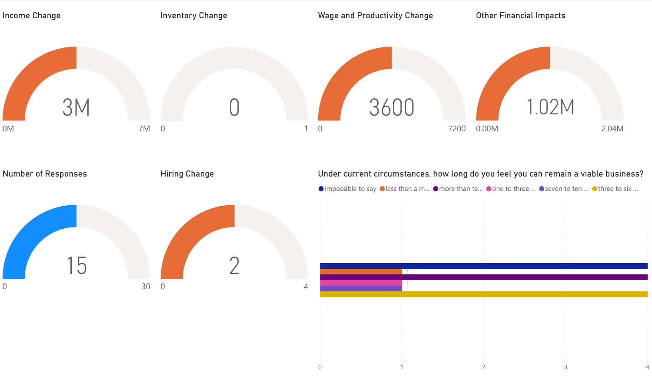